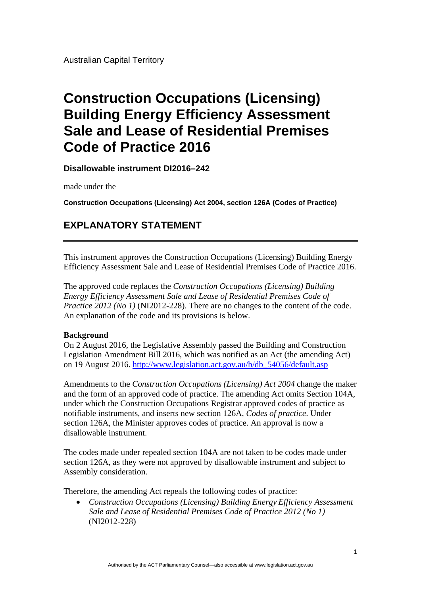Australian Capital Territory

# **Construction Occupations (Licensing) Building Energy Efficiency Assessment Sale and Lease of Residential Premises Code of Practice 2016**

**Disallowable instrument DI2016–242**

made under the

**Construction Occupations (Licensing) Act 2004, section 126A (Codes of Practice)** 

# **EXPLANATORY STATEMENT**

This instrument approves the Construction Occupations (Licensing) Building Energy Efficiency Assessment Sale and Lease of Residential Premises Code of Practice 2016.

The approved code replaces the *Construction Occupations (Licensing) Building Energy Efficiency Assessment Sale and Lease of Residential Premises Code of Practice 2012 (No 1)* (NI2012-228). There are no changes to the content of the code. An explanation of the code and its provisions is below.

# **Background**

On 2 August 2016, the Legislative Assembly passed the Building and Construction Legislation Amendment Bill 2016, which was notified as an Act (the amending Act) on 19 August 2016. [http://www.legislation.act.gov.au/b/db\\_54056/default.asp](http://www.legislation.act.gov.au/b/db_54056/default.asp) 

Amendments to the *Construction Occupations (Licensing) Act 2004* change the maker and the form of an approved code of practice. The amending Act omits Section 104A, under which the Construction Occupations Registrar approved codes of practice as notifiable instruments, and inserts new section 126A, *Codes of practice*. Under section 126A, the Minister approves codes of practice. An approval is now a disallowable instrument.

The codes made under repealed section 104A are not taken to be codes made under section 126A, as they were not approved by disallowable instrument and subject to Assembly consideration.

Therefore, the amending Act repeals the following codes of practice:

 *Construction Occupations (Licensing) Building Energy Efficiency Assessment Sale and Lease of Residential Premises Code of Practice 2012 (No 1)*  (NI2012-228)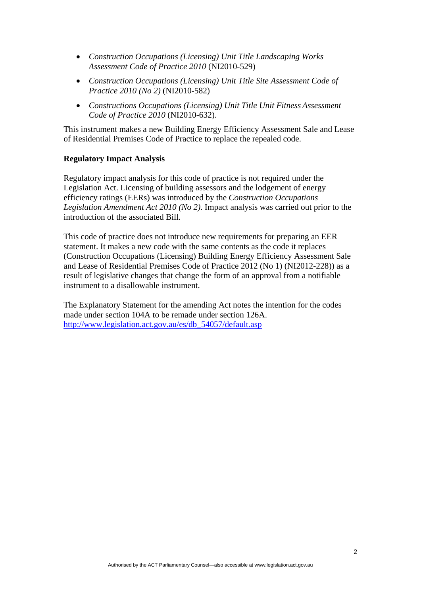- *Construction Occupations (Licensing) Unit Title Landscaping Works Assessment Code of Practice 2010* (NI2010-529)
- *Construction Occupations (Licensing) Unit Title Site Assessment Code of Practice 2010 (No 2)* (NI2010-582)
- *Constructions Occupations (Licensing) Unit Title Unit Fitness Assessment Code of Practice 2010* (NI2010-632).

This instrument makes a new Building Energy Efficiency Assessment Sale and Lease of Residential Premises Code of Practice to replace the repealed code.

## **Regulatory Impact Analysis**

Regulatory impact analysis for this code of practice is not required under the Legislation Act. Licensing of building assessors and the lodgement of energy efficiency ratings (EERs) was introduced by the *Construction Occupations Legislation Amendment Act 2010 (No 2)*. Impact analysis was carried out prior to the introduction of the associated Bill.

This code of practice does not introduce new requirements for preparing an EER statement. It makes a new code with the same contents as the code it replaces (Construction Occupations (Licensing) Building Energy Efficiency Assessment Sale and Lease of Residential Premises Code of Practice 2012 (No 1) (NI2012-228)) as a result of legislative changes that change the form of an approval from a notifiable instrument to a disallowable instrument.

The Explanatory Statement for the amending Act notes the intention for the codes made under section 104A to be remade under section 126A. [http://www.legislation.act.gov.au/es/db\\_54057/default.asp](http://www.legislation.act.gov.au/es/db_54057/default.asp)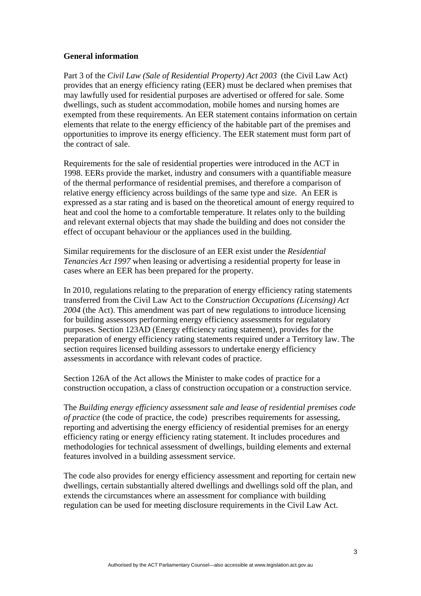### **General information**

Part 3 of the *Civil Law (Sale of Residential Property) Act 2003* (the Civil Law Act) provides that an energy efficiency rating (EER) must be declared when premises that may lawfully used for residential purposes are advertised or offered for sale. Some dwellings, such as student accommodation, mobile homes and nursing homes are exempted from these requirements. An EER statement contains information on certain elements that relate to the energy efficiency of the habitable part of the premises and opportunities to improve its energy efficiency. The EER statement must form part of the contract of sale.

Requirements for the sale of residential properties were introduced in the ACT in 1998. EERs provide the market, industry and consumers with a quantifiable measure of the thermal performance of residential premises, and therefore a comparison of relative energy efficiency across buildings of the same type and size. An EER is expressed as a star rating and is based on the theoretical amount of energy required to heat and cool the home to a comfortable temperature. It relates only to the building and relevant external objects that may shade the building and does not consider the effect of occupant behaviour or the appliances used in the building.

Similar requirements for the disclosure of an EER exist under the *Residential Tenancies Act 1997* when leasing or advertising a residential property for lease in cases where an EER has been prepared for the property.

In 2010, regulations relating to the preparation of energy efficiency rating statements transferred from the Civil Law Act to the *Construction Occupations (Licensing) Act 2004* (the Act). This amendment was part of new regulations to introduce licensing for building assessors performing energy efficiency assessments for regulatory purposes. Section 123AD (Energy efficiency rating statement), provides for the preparation of energy efficiency rating statements required under a Territory law. The section requires licensed building assessors to undertake energy efficiency assessments in accordance with relevant codes of practice.

Section 126A of the Act allows the Minister to make codes of practice for a construction occupation, a class of construction occupation or a construction service.

The *Building energy efficiency assessment sale and lease of residential premises code of practice* (the code of practice, the code) prescribes requirements for assessing, reporting and advertising the energy efficiency of residential premises for an energy efficiency rating or energy efficiency rating statement. It includes procedures and methodologies for technical assessment of dwellings, building elements and external features involved in a building assessment service.

The code also provides for energy efficiency assessment and reporting for certain new dwellings, certain substantially altered dwellings and dwellings sold off the plan, and extends the circumstances where an assessment for compliance with building regulation can be used for meeting disclosure requirements in the Civil Law Act.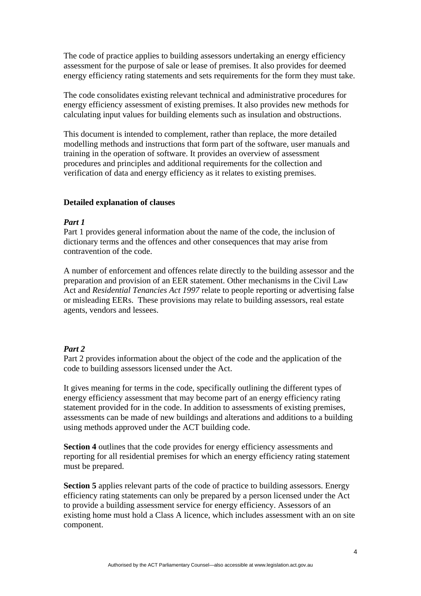The code of practice applies to building assessors undertaking an energy efficiency assessment for the purpose of sale or lease of premises. It also provides for deemed energy efficiency rating statements and sets requirements for the form they must take.

The code consolidates existing relevant technical and administrative procedures for energy efficiency assessment of existing premises. It also provides new methods for calculating input values for building elements such as insulation and obstructions.

This document is intended to complement, rather than replace, the more detailed modelling methods and instructions that form part of the software, user manuals and training in the operation of software. It provides an overview of assessment procedures and principles and additional requirements for the collection and verification of data and energy efficiency as it relates to existing premises.

#### **Detailed explanation of clauses**

#### *Part 1*

Part 1 provides general information about the name of the code, the inclusion of dictionary terms and the offences and other consequences that may arise from contravention of the code.

A number of enforcement and offences relate directly to the building assessor and the preparation and provision of an EER statement. Other mechanisms in the Civil Law Act and *Residential Tenancies Act 1997* relate to people reporting or advertising false or misleading EERs. These provisions may relate to building assessors, real estate agents, vendors and lessees.

#### *Part 2*

Part 2 provides information about the object of the code and the application of the code to building assessors licensed under the Act.

It gives meaning for terms in the code, specifically outlining the different types of energy efficiency assessment that may become part of an energy efficiency rating statement provided for in the code. In addition to assessments of existing premises, assessments can be made of new buildings and alterations and additions to a building using methods approved under the ACT building code.

**Section 4** outlines that the code provides for energy efficiency assessments and reporting for all residential premises for which an energy efficiency rating statement must be prepared.

**Section 5** applies relevant parts of the code of practice to building assessors. Energy efficiency rating statements can only be prepared by a person licensed under the Act to provide a building assessment service for energy efficiency. Assessors of an existing home must hold a Class A licence, which includes assessment with an on site component.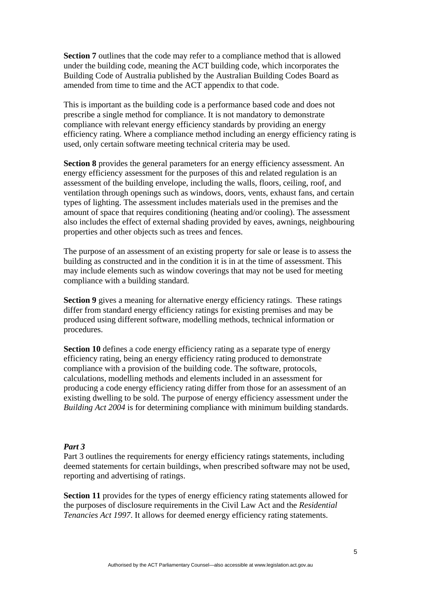**Section 7** outlines that the code may refer to a compliance method that is allowed under the building code, meaning the ACT building code, which incorporates the Building Code of Australia published by the Australian Building Codes Board as amended from time to time and the ACT appendix to that code.

This is important as the building code is a performance based code and does not prescribe a single method for compliance. It is not mandatory to demonstrate compliance with relevant energy efficiency standards by providing an energy efficiency rating. Where a compliance method including an energy efficiency rating is used, only certain software meeting technical criteria may be used.

**Section 8** provides the general parameters for an energy efficiency assessment. An energy efficiency assessment for the purposes of this and related regulation is an assessment of the building envelope, including the walls, floors, ceiling, roof, and ventilation through openings such as windows, doors, vents, exhaust fans, and certain types of lighting. The assessment includes materials used in the premises and the amount of space that requires conditioning (heating and/or cooling). The assessment also includes the effect of external shading provided by eaves, awnings, neighbouring properties and other objects such as trees and fences.

The purpose of an assessment of an existing property for sale or lease is to assess the building as constructed and in the condition it is in at the time of assessment. This may include elements such as window coverings that may not be used for meeting compliance with a building standard.

**Section 9** gives a meaning for alternative energy efficiency ratings. These ratings differ from standard energy efficiency ratings for existing premises and may be produced using different software, modelling methods, technical information or procedures.

**Section 10** defines a code energy efficiency rating as a separate type of energy efficiency rating, being an energy efficiency rating produced to demonstrate compliance with a provision of the building code. The software, protocols, calculations, modelling methods and elements included in an assessment for producing a code energy efficiency rating differ from those for an assessment of an existing dwelling to be sold. The purpose of energy efficiency assessment under the *Building Act 2004* is for determining compliance with minimum building standards.

#### *Part 3*

Part 3 outlines the requirements for energy efficiency ratings statements, including deemed statements for certain buildings, when prescribed software may not be used, reporting and advertising of ratings.

**Section 11** provides for the types of energy efficiency rating statements allowed for the purposes of disclosure requirements in the Civil Law Act and the *Residential Tenancies Act 1997*. It allows for deemed energy efficiency rating statements.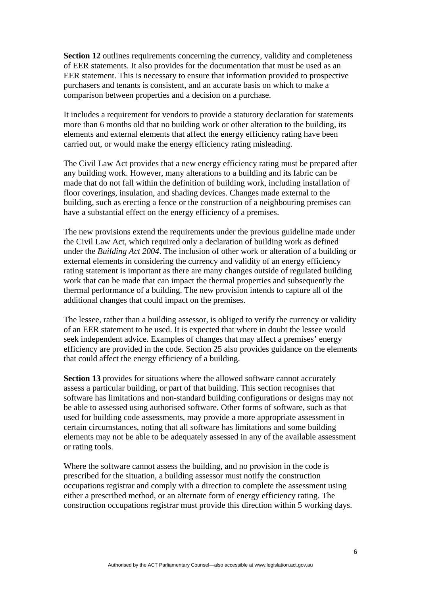**Section 12** outlines requirements concerning the currency, validity and completeness of EER statements. It also provides for the documentation that must be used as an EER statement. This is necessary to ensure that information provided to prospective purchasers and tenants is consistent, and an accurate basis on which to make a comparison between properties and a decision on a purchase.

It includes a requirement for vendors to provide a statutory declaration for statements more than 6 months old that no building work or other alteration to the building, its elements and external elements that affect the energy efficiency rating have been carried out, or would make the energy efficiency rating misleading.

The Civil Law Act provides that a new energy efficiency rating must be prepared after any building work. However, many alterations to a building and its fabric can be made that do not fall within the definition of building work, including installation of floor coverings, insulation, and shading devices. Changes made external to the building, such as erecting a fence or the construction of a neighbouring premises can have a substantial effect on the energy efficiency of a premises.

The new provisions extend the requirements under the previous guideline made under the Civil Law Act, which required only a declaration of building work as defined under the *Building Act 2004*. The inclusion of other work or alteration of a building or external elements in considering the currency and validity of an energy efficiency rating statement is important as there are many changes outside of regulated building work that can be made that can impact the thermal properties and subsequently the thermal performance of a building. The new provision intends to capture all of the additional changes that could impact on the premises.

The lessee, rather than a building assessor, is obliged to verify the currency or validity of an EER statement to be used. It is expected that where in doubt the lessee would seek independent advice. Examples of changes that may affect a premises' energy efficiency are provided in the code. Section 25 also provides guidance on the elements that could affect the energy efficiency of a building.

**Section 13** provides for situations where the allowed software cannot accurately assess a particular building, or part of that building. This section recognises that software has limitations and non-standard building configurations or designs may not be able to assessed using authorised software. Other forms of software, such as that used for building code assessments, may provide a more appropriate assessment in certain circumstances, noting that all software has limitations and some building elements may not be able to be adequately assessed in any of the available assessment or rating tools.

Where the software cannot assess the building, and no provision in the code is prescribed for the situation, a building assessor must notify the construction occupations registrar and comply with a direction to complete the assessment using either a prescribed method, or an alternate form of energy efficiency rating. The construction occupations registrar must provide this direction within 5 working days.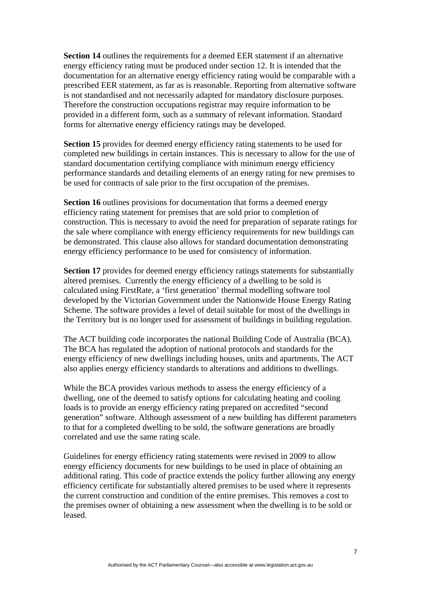**Section 14** outlines the requirements for a deemed EER statement if an alternative energy efficiency rating must be produced under section 12. It is intended that the documentation for an alternative energy efficiency rating would be comparable with a prescribed EER statement, as far as is reasonable. Reporting from alternative software is not standardised and not necessarily adapted for mandatory disclosure purposes. Therefore the construction occupations registrar may require information to be provided in a different form, such as a summary of relevant information. Standard forms for alternative energy efficiency ratings may be developed.

**Section 15** provides for deemed energy efficiency rating statements to be used for completed new buildings in certain instances. This is necessary to allow for the use of standard documentation certifying compliance with minimum energy efficiency performance standards and detailing elements of an energy rating for new premises to be used for contracts of sale prior to the first occupation of the premises.

**Section 16** outlines provisions for documentation that forms a deemed energy efficiency rating statement for premises that are sold prior to completion of construction. This is necessary to avoid the need for preparation of separate ratings for the sale where compliance with energy efficiency requirements for new buildings can be demonstrated. This clause also allows for standard documentation demonstrating energy efficiency performance to be used for consistency of information.

Section 17 provides for deemed energy efficiency ratings statements for substantially altered premises. Currently the energy efficiency of a dwelling to be sold is calculated using FirstRate, a 'first generation' thermal modelling software tool developed by the Victorian Government under the Nationwide House Energy Rating Scheme. The software provides a level of detail suitable for most of the dwellings in the Territory but is no longer used for assessment of buildings in building regulation.

The ACT building code incorporates the national Building Code of Australia (BCA). The BCA has regulated the adoption of national protocols and standards for the energy efficiency of new dwellings including houses, units and apartments. The ACT also applies energy efficiency standards to alterations and additions to dwellings.

While the BCA provides various methods to assess the energy efficiency of a dwelling, one of the deemed to satisfy options for calculating heating and cooling loads is to provide an energy efficiency rating prepared on accredited "second generation" software. Although assessment of a new building has different parameters to that for a completed dwelling to be sold, the software generations are broadly correlated and use the same rating scale.

Guidelines for energy efficiency rating statements were revised in 2009 to allow energy efficiency documents for new buildings to be used in place of obtaining an additional rating. This code of practice extends the policy further allowing any energy efficiency certificate for substantially altered premises to be used where it represents the current construction and condition of the entire premises. This removes a cost to the premises owner of obtaining a new assessment when the dwelling is to be sold or leased.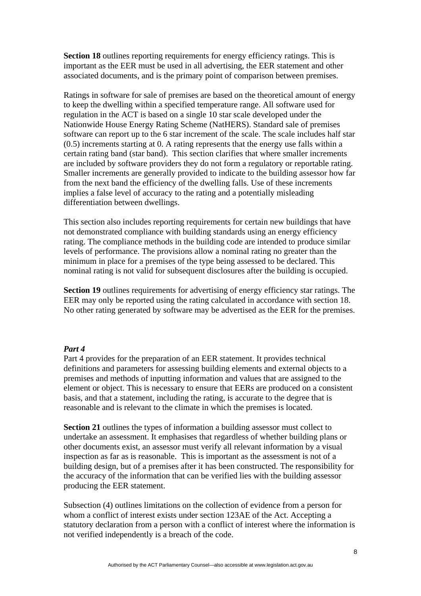**Section 18** outlines reporting requirements for energy efficiency ratings. This is important as the EER must be used in all advertising, the EER statement and other associated documents, and is the primary point of comparison between premises.

Ratings in software for sale of premises are based on the theoretical amount of energy to keep the dwelling within a specified temperature range. All software used for regulation in the ACT is based on a single 10 star scale developed under the Nationwide House Energy Rating Scheme (NatHERS). Standard sale of premises software can report up to the 6 star increment of the scale. The scale includes half star (0.5) increments starting at 0. A rating represents that the energy use falls within a certain rating band (star band). This section clarifies that where smaller increments are included by software providers they do not form a regulatory or reportable rating. Smaller increments are generally provided to indicate to the building assessor how far from the next band the efficiency of the dwelling falls. Use of these increments implies a false level of accuracy to the rating and a potentially misleading differentiation between dwellings.

This section also includes reporting requirements for certain new buildings that have not demonstrated compliance with building standards using an energy efficiency rating. The compliance methods in the building code are intended to produce similar levels of performance. The provisions allow a nominal rating no greater than the minimum in place for a premises of the type being assessed to be declared. This nominal rating is not valid for subsequent disclosures after the building is occupied.

**Section 19** outlines requirements for advertising of energy efficiency star ratings. The EER may only be reported using the rating calculated in accordance with section 18. No other rating generated by software may be advertised as the EER for the premises.

#### *Part 4*

Part 4 provides for the preparation of an EER statement. It provides technical definitions and parameters for assessing building elements and external objects to a premises and methods of inputting information and values that are assigned to the element or object. This is necessary to ensure that EERs are produced on a consistent basis, and that a statement, including the rating, is accurate to the degree that is reasonable and is relevant to the climate in which the premises is located.

**Section 21** outlines the types of information a building assessor must collect to undertake an assessment. It emphasises that regardless of whether building plans or other documents exist, an assessor must verify all relevant information by a visual inspection as far as is reasonable. This is important as the assessment is not of a building design, but of a premises after it has been constructed. The responsibility for the accuracy of the information that can be verified lies with the building assessor producing the EER statement.

Subsection (4) outlines limitations on the collection of evidence from a person for whom a conflict of interest exists under section 123AE of the Act. Accepting a statutory declaration from a person with a conflict of interest where the information is not verified independently is a breach of the code.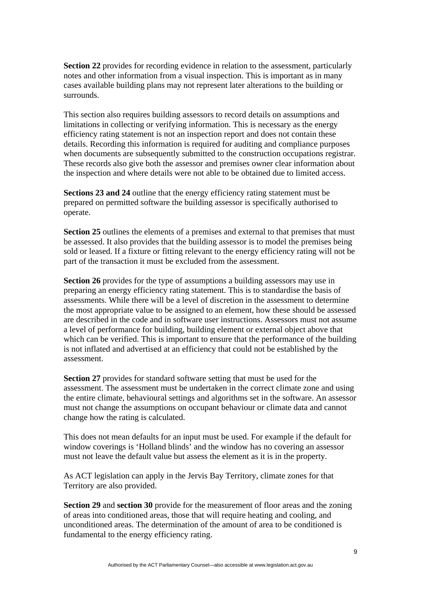**Section 22** provides for recording evidence in relation to the assessment, particularly notes and other information from a visual inspection. This is important as in many cases available building plans may not represent later alterations to the building or surrounds.

This section also requires building assessors to record details on assumptions and limitations in collecting or verifying information. This is necessary as the energy efficiency rating statement is not an inspection report and does not contain these details. Recording this information is required for auditing and compliance purposes when documents are subsequently submitted to the construction occupations registrar. These records also give both the assessor and premises owner clear information about the inspection and where details were not able to be obtained due to limited access.

**Sections 23 and 24** outline that the energy efficiency rating statement must be prepared on permitted software the building assessor is specifically authorised to operate.

**Section 25** outlines the elements of a premises and external to that premises that must be assessed. It also provides that the building assessor is to model the premises being sold or leased. If a fixture or fitting relevant to the energy efficiency rating will not be part of the transaction it must be excluded from the assessment.

**Section 26** provides for the type of assumptions a building assessors may use in preparing an energy efficiency rating statement. This is to standardise the basis of assessments. While there will be a level of discretion in the assessment to determine the most appropriate value to be assigned to an element, how these should be assessed are described in the code and in software user instructions. Assessors must not assume a level of performance for building, building element or external object above that which can be verified. This is important to ensure that the performance of the building is not inflated and advertised at an efficiency that could not be established by the assessment.

**Section 27** provides for standard software setting that must be used for the assessment. The assessment must be undertaken in the correct climate zone and using the entire climate, behavioural settings and algorithms set in the software. An assessor must not change the assumptions on occupant behaviour or climate data and cannot change how the rating is calculated.

This does not mean defaults for an input must be used. For example if the default for window coverings is 'Holland blinds' and the window has no covering an assessor must not leave the default value but assess the element as it is in the property.

As ACT legislation can apply in the Jervis Bay Territory, climate zones for that Territory are also provided.

**Section 29** and **section 30** provide for the measurement of floor areas and the zoning of areas into conditioned areas, those that will require heating and cooling, and unconditioned areas. The determination of the amount of area to be conditioned is fundamental to the energy efficiency rating.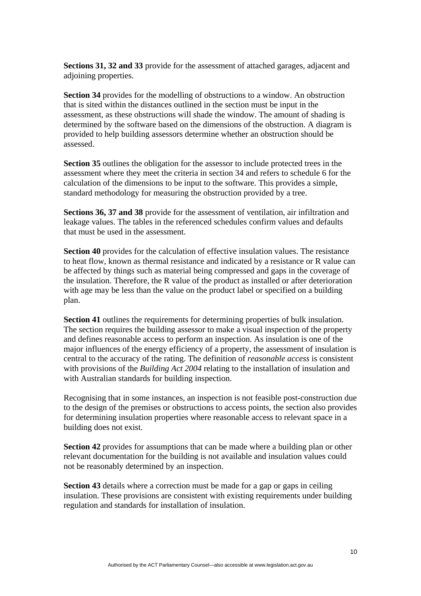**Sections 31, 32 and 33** provide for the assessment of attached garages, adjacent and adjoining properties.

**Section 34** provides for the modelling of obstructions to a window. An obstruction that is sited within the distances outlined in the section must be input in the assessment, as these obstructions will shade the window. The amount of shading is determined by the software based on the dimensions of the obstruction. A diagram is provided to help building assessors determine whether an obstruction should be assessed.

**Section 35** outlines the obligation for the assessor to include protected trees in the assessment where they meet the criteria in section 34 and refers to schedule 6 for the calculation of the dimensions to be input to the software. This provides a simple, standard methodology for measuring the obstruction provided by a tree.

**Sections 36, 37 and 38** provide for the assessment of ventilation, air infiltration and leakage values. The tables in the referenced schedules confirm values and defaults that must be used in the assessment.

**Section 40** provides for the calculation of effective insulation values. The resistance to heat flow, known as thermal resistance and indicated by a resistance or R value can be affected by things such as material being compressed and gaps in the coverage of the insulation. Therefore, the R value of the product as installed or after deterioration with age may be less than the value on the product label or specified on a building plan.

**Section 41** outlines the requirements for determining properties of bulk insulation. The section requires the building assessor to make a visual inspection of the property and defines reasonable access to perform an inspection. As insulation is one of the major influences of the energy efficiency of a property, the assessment of insulation is central to the accuracy of the rating. The definition of *reasonable access* is consistent with provisions of the *Building Act 2004* relating to the installation of insulation and with Australian standards for building inspection.

Recognising that in some instances, an inspection is not feasible post-construction due to the design of the premises or obstructions to access points, the section also provides for determining insulation properties where reasonable access to relevant space in a building does not exist.

**Section 42** provides for assumptions that can be made where a building plan or other relevant documentation for the building is not available and insulation values could not be reasonably determined by an inspection.

**Section 43** details where a correction must be made for a gap or gaps in ceiling insulation. These provisions are consistent with existing requirements under building regulation and standards for installation of insulation.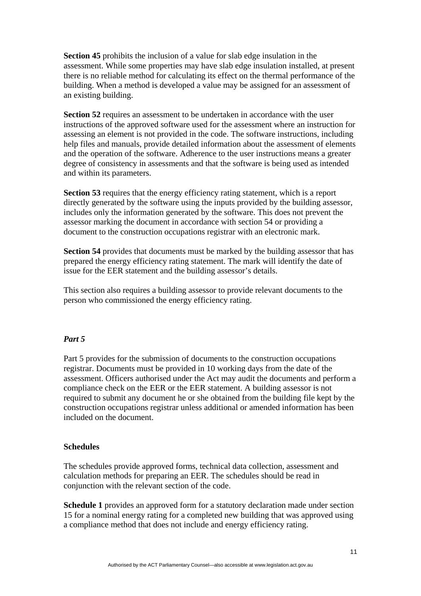**Section 45** prohibits the inclusion of a value for slab edge insulation in the assessment. While some properties may have slab edge insulation installed, at present there is no reliable method for calculating its effect on the thermal performance of the building. When a method is developed a value may be assigned for an assessment of an existing building.

**Section 52** requires an assessment to be undertaken in accordance with the user instructions of the approved software used for the assessment where an instruction for assessing an element is not provided in the code. The software instructions, including help files and manuals, provide detailed information about the assessment of elements and the operation of the software. Adherence to the user instructions means a greater degree of consistency in assessments and that the software is being used as intended and within its parameters.

**Section 53** requires that the energy efficiency rating statement, which is a report directly generated by the software using the inputs provided by the building assessor, includes only the information generated by the software. This does not prevent the assessor marking the document in accordance with section 54 or providing a document to the construction occupations registrar with an electronic mark.

**Section 54** provides that documents must be marked by the building assessor that has prepared the energy efficiency rating statement. The mark will identify the date of issue for the EER statement and the building assessor's details.

This section also requires a building assessor to provide relevant documents to the person who commissioned the energy efficiency rating.

#### *Part 5*

Part 5 provides for the submission of documents to the construction occupations registrar. Documents must be provided in 10 working days from the date of the assessment. Officers authorised under the Act may audit the documents and perform a compliance check on the EER or the EER statement. A building assessor is not required to submit any document he or she obtained from the building file kept by the construction occupations registrar unless additional or amended information has been included on the document.

#### **Schedules**

The schedules provide approved forms, technical data collection, assessment and calculation methods for preparing an EER. The schedules should be read in conjunction with the relevant section of the code.

**Schedule 1** provides an approved form for a statutory declaration made under section 15 for a nominal energy rating for a completed new building that was approved using a compliance method that does not include and energy efficiency rating.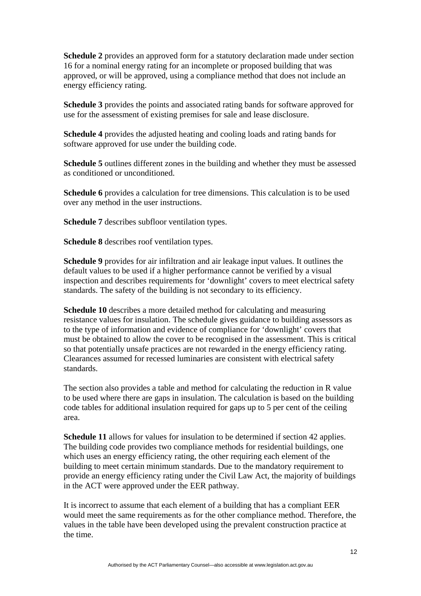**Schedule 2** provides an approved form for a statutory declaration made under section 16 for a nominal energy rating for an incomplete or proposed building that was approved, or will be approved, using a compliance method that does not include an energy efficiency rating.

**Schedule 3** provides the points and associated rating bands for software approved for use for the assessment of existing premises for sale and lease disclosure.

**Schedule 4** provides the adjusted heating and cooling loads and rating bands for software approved for use under the building code.

**Schedule 5** outlines different zones in the building and whether they must be assessed as conditioned or unconditioned.

**Schedule 6** provides a calculation for tree dimensions. This calculation is to be used over any method in the user instructions.

**Schedule 7** describes subfloor ventilation types.

**Schedule 8** describes roof ventilation types.

**Schedule 9** provides for air infiltration and air leakage input values. It outlines the default values to be used if a higher performance cannot be verified by a visual inspection and describes requirements for 'downlight' covers to meet electrical safety standards. The safety of the building is not secondary to its efficiency.

**Schedule 10** describes a more detailed method for calculating and measuring resistance values for insulation. The schedule gives guidance to building assessors as to the type of information and evidence of compliance for 'downlight' covers that must be obtained to allow the cover to be recognised in the assessment. This is critical so that potentially unsafe practices are not rewarded in the energy efficiency rating. Clearances assumed for recessed luminaries are consistent with electrical safety standards.

The section also provides a table and method for calculating the reduction in R value to be used where there are gaps in insulation. The calculation is based on the building code tables for additional insulation required for gaps up to 5 per cent of the ceiling area.

**Schedule 11** allows for values for insulation to be determined if section 42 applies. The building code provides two compliance methods for residential buildings, one which uses an energy efficiency rating, the other requiring each element of the building to meet certain minimum standards. Due to the mandatory requirement to provide an energy efficiency rating under the Civil Law Act, the majority of buildings in the ACT were approved under the EER pathway.

It is incorrect to assume that each element of a building that has a compliant EER would meet the same requirements as for the other compliance method. Therefore, the values in the table have been developed using the prevalent construction practice at the time.